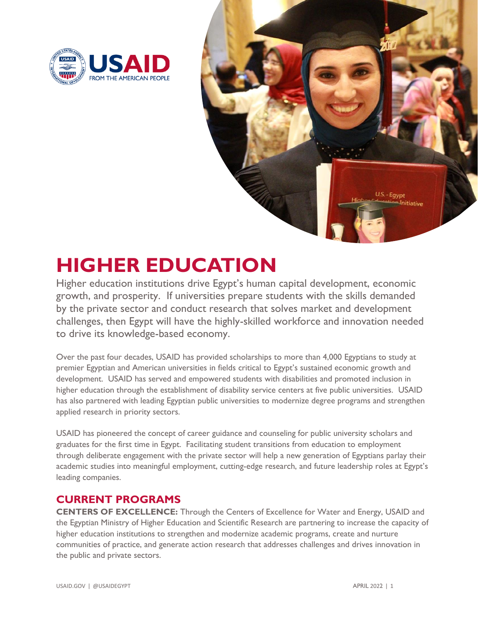



## **HIGHER EDUCATION**

Higher education institutions drive Egypt's human capital development, economic growth, and prosperity. If universities prepare students with the skills demanded by the private sector and conduct research that solves market and development challenges, then Egypt will have the highly-skilled workforce and innovation needed to drive its knowledge-based economy.

Over the past four decades, USAID has provided scholarships to more than 4,000 Egyptians to study at premier Egyptian and American universities in fields critical to Egypt's sustained economic growth and development. USAID has served and empowered students with disabilities and promoted inclusion in higher education through the establishment of disability service centers at five public universities. USAID has also partnered with leading Egyptian public universities to modernize degree programs and strengthen applied research in priority sectors.

USAID has pioneered the concept of career guidance and counseling for public university scholars and graduates for the first time in Egypt. Facilitating student transitions from education to employment through deliberate engagement with the private sector will help a new generation of Egyptians parlay their academic studies into meaningful employment, cutting-edge research, and future leadership roles at Egypt's leading companies.

## **CURRENT PROGRAMS**

**CENTERS OF EXCELLENCE:** Through the Centers of Excellence for Water and Energy, USAID and the Egyptian Ministry of Higher Education and Scientific Research are partnering to increase the capacity of higher education institutions to strengthen and modernize academic programs, create and nurture communities of practice, and generate action research that addresses challenges and drives innovation in the public and private sectors.